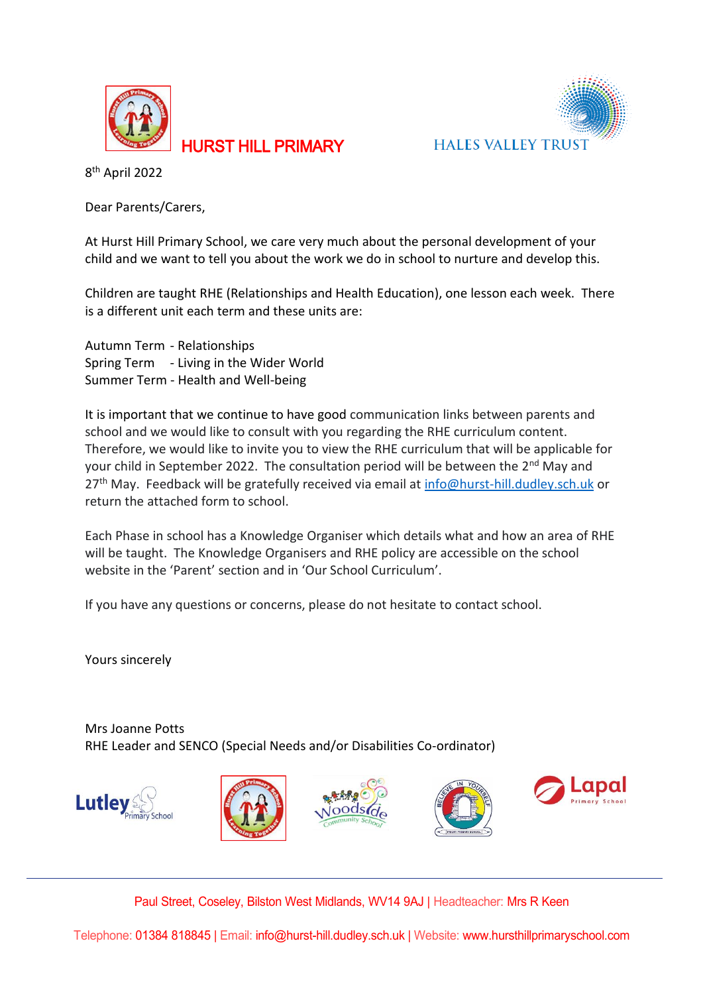

**HALES VALLEY TRUST** 

8 th April 2022

Dear Parents/Carers,

At Hurst Hill Primary School, we care very much about the personal development of your child and we want to tell you about the work we do in school to nurture and develop this.

HURST HILL PRIMARY

Children are taught RHE (Relationships and Health Education), one lesson each week. There is a different unit each term and these units are:

Autumn Term - Relationships Spring Term - Living in the Wider World Summer Term - Health and Well-being

It is important that we continue to have good communication links between parents and school and we would like to consult with you regarding the RHE curriculum content. Therefore, we would like to invite you to view the RHE curriculum that will be applicable for your child in September 2022. The consultation period will be between the  $2^{nd}$  May and 27<sup>th</sup> May. Feedback will be gratefully received via email at [info@hurst-hill.dudley.sch.uk](mailto:info@hurst-hill.dudley.sch.uk) or return the attached form to school.

Each Phase in school has a Knowledge Organiser which details what and how an area of RHE will be taught. The Knowledge Organisers and RHE policy are accessible on the school website in the 'Parent' section and in 'Our School Curriculum'.

If you have any questions or concerns, please do not hesitate to contact school.

Yours sincerely

Mrs Joanne Potts RHE Leader and SENCO (Special Needs and/or Disabilities Co-ordinator)











Paul Street, Coseley, Bilston West Midlands, WV14 9AJ | Headteacher: Mrs R Keen

Telephone: 01384 818845 | Email: info@hurst-hill.dudley.sch.uk | Website: www.hursthillprimaryschool.com